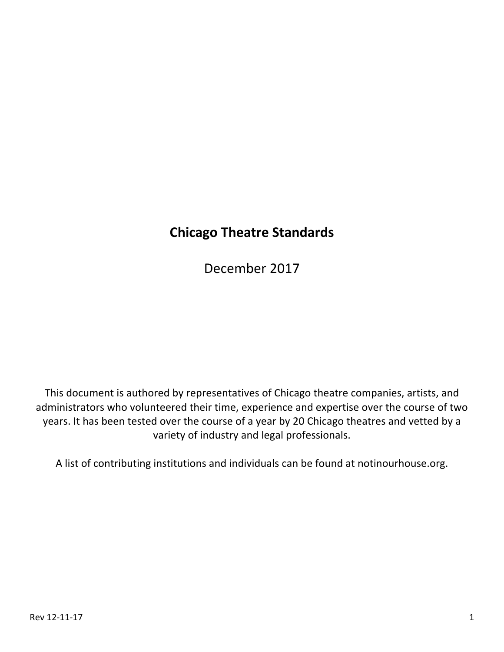# **Chicago Theatre Standards**

December 2017

This document is authored by representatives of Chicago theatre companies, artists, and administrators who volunteered their time, experience and expertise over the course of two years. It has been tested over the course of a year by 20 Chicago theatres and vetted by a variety of industry and legal professionals.

A list of contributing institutions and individuals can be found at notinourhouse.org.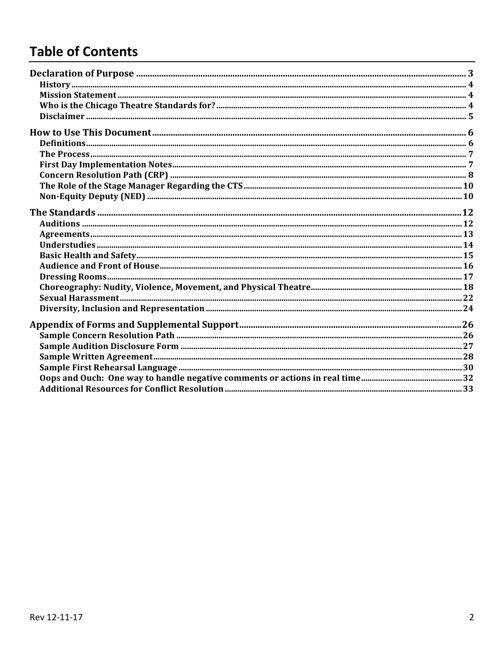# **Table of Contents**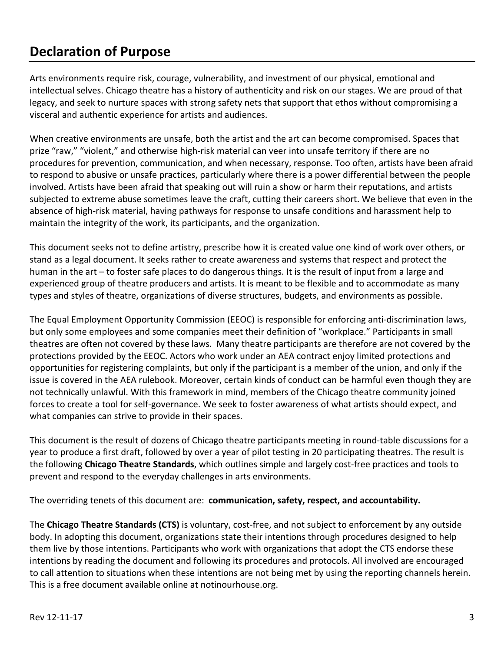# **Declaration of Purpose**

Arts environments require risk, courage, vulnerability, and investment of our physical, emotional and intellectual selves. Chicago theatre has a history of authenticity and risk on our stages. We are proud of that legacy, and seek to nurture spaces with strong safety nets that support that ethos without compromising a visceral and authentic experience for artists and audiences.

When creative environments are unsafe, both the artist and the art can become compromised. Spaces that prize "raw," "violent," and otherwise high-risk material can veer into unsafe territory if there are no procedures for prevention, communication, and when necessary, response. Too often, artists have been afraid to respond to abusive or unsafe practices, particularly where there is a power differential between the people involved. Artists have been afraid that speaking out will ruin a show or harm their reputations, and artists subjected to extreme abuse sometimes leave the craft, cutting their careers short. We believe that even in the absence of high-risk material, having pathways for response to unsafe conditions and harassment help to maintain the integrity of the work, its participants, and the organization.

This document seeks not to define artistry, prescribe how it is created value one kind of work over others, or stand as a legal document. It seeks rather to create awareness and systems that respect and protect the human in the art – to foster safe places to do dangerous things. It is the result of input from a large and experienced group of theatre producers and artists. It is meant to be flexible and to accommodate as many types and styles of theatre, organizations of diverse structures, budgets, and environments as possible.

The Equal Employment Opportunity Commission (EEOC) is responsible for enforcing anti-discrimination laws, but only some employees and some companies meet their definition of "workplace." Participants in small theatres are often not covered by these laws. Many theatre participants are therefore are not covered by the protections provided by the EEOC. Actors who work under an AEA contract enjoy limited protections and opportunities for registering complaints, but only if the participant is a member of the union, and only if the issue is covered in the AEA rulebook. Moreover, certain kinds of conduct can be harmful even though they are not technically unlawful. With this framework in mind, members of the Chicago theatre community joined forces to create a tool for self-governance. We seek to foster awareness of what artists should expect, and what companies can strive to provide in their spaces.

This document is the result of dozens of Chicago theatre participants meeting in round-table discussions for a year to produce a first draft, followed by over a year of pilot testing in 20 participating theatres. The result is the following **Chicago Theatre Standards**, which outlines simple and largely cost-free practices and tools to prevent and respond to the everyday challenges in arts environments.

The overriding tenets of this document are: **communication, safety, respect, and accountability.** 

The **Chicago Theatre Standards (CTS)** is voluntary, cost-free, and not subject to enforcement by any outside body. In adopting this document, organizations state their intentions through procedures designed to help them live by those intentions. Participants who work with organizations that adopt the CTS endorse these intentions by reading the document and following its procedures and protocols. All involved are encouraged to call attention to situations when these intentions are not being met by using the reporting channels herein. This is a free document available online at notinourhouse.org.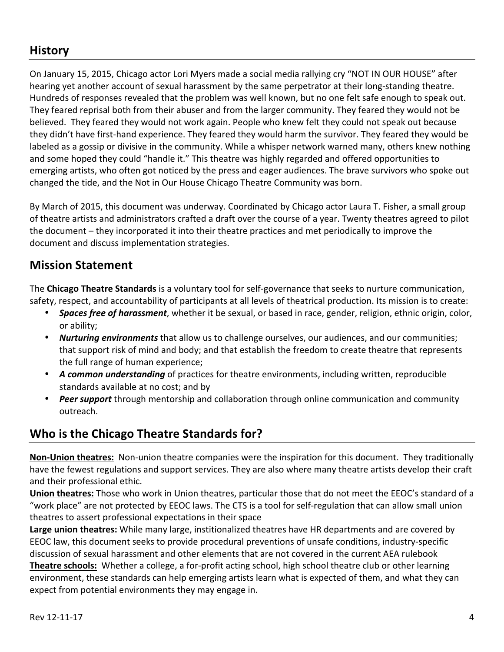## **History**

On January 15, 2015, Chicago actor Lori Myers made a social media rallying cry "NOT IN OUR HOUSE" after hearing yet another account of sexual harassment by the same perpetrator at their long-standing theatre. Hundreds of responses revealed that the problem was well known, but no one felt safe enough to speak out. They feared reprisal both from their abuser and from the larger community. They feared they would not be believed. They feared they would not work again. People who knew felt they could not speak out because they didn't have first-hand experience. They feared they would harm the survivor. They feared they would be labeled as a gossip or divisive in the community. While a whisper network warned many, others knew nothing and some hoped they could "handle it." This theatre was highly regarded and offered opportunities to emerging artists, who often got noticed by the press and eager audiences. The brave survivors who spoke out changed the tide, and the Not in Our House Chicago Theatre Community was born.

By March of 2015, this document was underway. Coordinated by Chicago actor Laura T. Fisher, a small group of theatre artists and administrators crafted a draft over the course of a year. Twenty theatres agreed to pilot the document – they incorporated it into their theatre practices and met periodically to improve the document and discuss implementation strategies.

## **Mission Statement**

The **Chicago Theatre Standards** is a voluntary tool for self-governance that seeks to nurture communication, safety, respect, and accountability of participants at all levels of theatrical production. Its mission is to create:

- **Spaces free of harassment**, whether it be sexual, or based in race, gender, religion, ethnic origin, color, or ability;
- **Nurturing environments** that allow us to challenge ourselves, our audiences, and our communities; that support risk of mind and body; and that establish the freedom to create theatre that represents the full range of human experience;
- A common understanding of practices for theatre environments, including written, reproducible standards available at no cost; and by
- **Peer support** through mentorship and collaboration through online communication and community outreach.

## **Who is the Chicago Theatre Standards for?**

**Non-Union theatres:** Non-union theatre companies were the inspiration for this document. They traditionally have the fewest regulations and support services. They are also where many theatre artists develop their craft and their professional ethic.

**Union theatres:** Those who work in Union theatres, particular those that do not meet the EEOC's standard of a "work place" are not protected by EEOC laws. The CTS is a tool for self-regulation that can allow small union theatres to assert professional expectations in their space

**Large union theatres:** While many large, institionalized theatres have HR departments and are covered by EEOC law, this document seeks to provide procedural preventions of unsafe conditions, industry-specific discussion of sexual harassment and other elements that are not covered in the current AEA rulebook **Theatre schools:** Whether a college, a for-profit acting school, high school theatre club or other learning environment, these standards can help emerging artists learn what is expected of them, and what they can expect from potential environments they may engage in.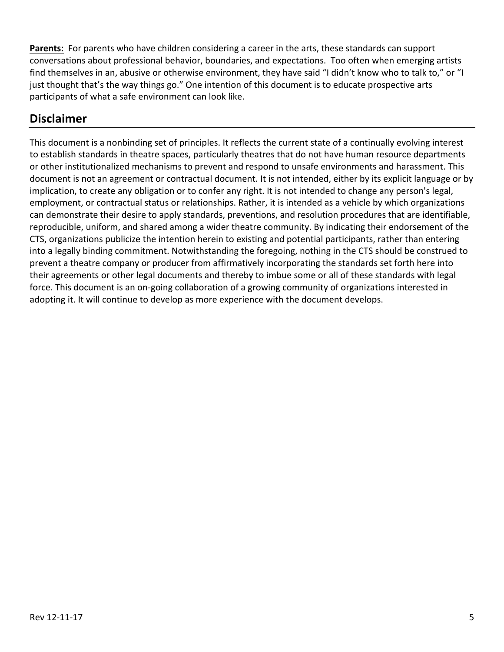Parents: For parents who have children considering a career in the arts, these standards can support conversations about professional behavior, boundaries, and expectations. Too often when emerging artists find themselves in an, abusive or otherwise environment, they have said "I didn't know who to talk to," or "I just thought that's the way things go." One intention of this document is to educate prospective arts participants of what a safe environment can look like.

## **Disclaimer**

This document is a nonbinding set of principles. It reflects the current state of a continually evolving interest to establish standards in theatre spaces, particularly theatres that do not have human resource departments or other institutionalized mechanisms to prevent and respond to unsafe environments and harassment. This document is not an agreement or contractual document. It is not intended, either by its explicit language or by implication, to create any obligation or to confer any right. It is not intended to change any person's legal, employment, or contractual status or relationships. Rather, it is intended as a vehicle by which organizations can demonstrate their desire to apply standards, preventions, and resolution procedures that are identifiable, reproducible, uniform, and shared among a wider theatre community. By indicating their endorsement of the CTS, organizations publicize the intention herein to existing and potential participants, rather than entering into a legally binding commitment. Notwithstanding the foregoing, nothing in the CTS should be construed to prevent a theatre company or producer from affirmatively incorporating the standards set forth here into their agreements or other legal documents and thereby to imbue some or all of these standards with legal force. This document is an on-going collaboration of a growing community of organizations interested in adopting it. It will continue to develop as more experience with the document develops.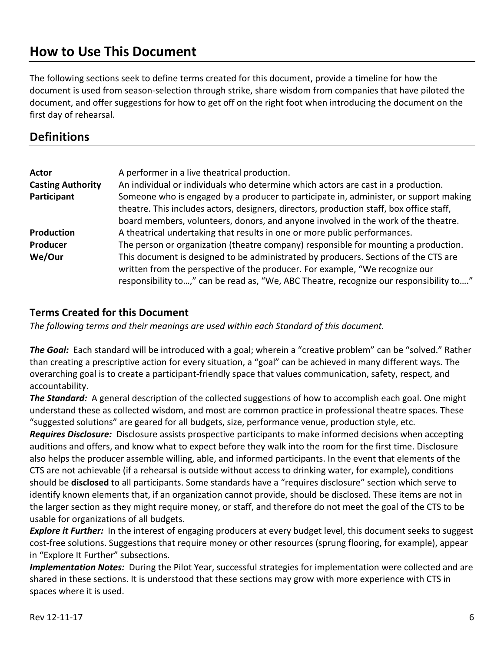# **How to Use This Document**

The following sections seek to define terms created for this document, provide a timeline for how the document is used from season-selection through strike, share wisdom from companies that have piloted the document, and offer suggestions for how to get off on the right foot when introducing the document on the first day of rehearsal.

## **Definitions**

| Actor<br><b>Casting Authority</b><br>Participant | A performer in a live theatrical production.<br>An individual or individuals who determine which actors are cast in a production.<br>Someone who is engaged by a producer to participate in, administer, or support making<br>theatre. This includes actors, designers, directors, production staff, box office staff, |
|--------------------------------------------------|------------------------------------------------------------------------------------------------------------------------------------------------------------------------------------------------------------------------------------------------------------------------------------------------------------------------|
|                                                  | board members, volunteers, donors, and anyone involved in the work of the theatre.                                                                                                                                                                                                                                     |
| Production                                       | A theatrical undertaking that results in one or more public performances.                                                                                                                                                                                                                                              |
| Producer                                         | The person or organization (theatre company) responsible for mounting a production.                                                                                                                                                                                                                                    |
| We/Our                                           | This document is designed to be administrated by producers. Sections of the CTS are<br>written from the perspective of the producer. For example, "We recognize our<br>responsibility to," can be read as, "We, ABC Theatre, recognize our responsibility to"                                                          |

#### **Terms Created for this Document**

The following terms and their meanings are used within each Standard of this document.

**The Goal:** Each standard will be introduced with a goal; wherein a "creative problem" can be "solved." Rather than creating a prescriptive action for every situation, a "goal" can be achieved in many different ways. The overarching goal is to create a participant-friendly space that values communication, safety, respect, and accountability.

**The Standard:** A general description of the collected suggestions of how to accomplish each goal. One might understand these as collected wisdom, and most are common practice in professional theatre spaces. These "suggested solutions" are geared for all budgets, size, performance venue, production style, etc.

*Requires Disclosure:* Disclosure assists prospective participants to make informed decisions when accepting auditions and offers, and know what to expect before they walk into the room for the first time. Disclosure also helps the producer assemble willing, able, and informed participants. In the event that elements of the CTS are not achievable (if a rehearsal is outside without access to drinking water, for example), conditions should be **disclosed** to all participants. Some standards have a "requires disclosure" section which serve to identify known elements that, if an organization cannot provide, should be disclosed. These items are not in the larger section as they might require money, or staff, and therefore do not meet the goal of the CTS to be usable for organizations of all budgets.

*Explore it Further:* In the interest of engaging producers at every budget level, this document seeks to suggest cost-free solutions. Suggestions that require money or other resources (sprung flooring, for example), appear in "Explore It Further" subsections.

*Implementation Notes:* During the Pilot Year, successful strategies for implementation were collected and are shared in these sections. It is understood that these sections may grow with more experience with CTS in spaces where it is used.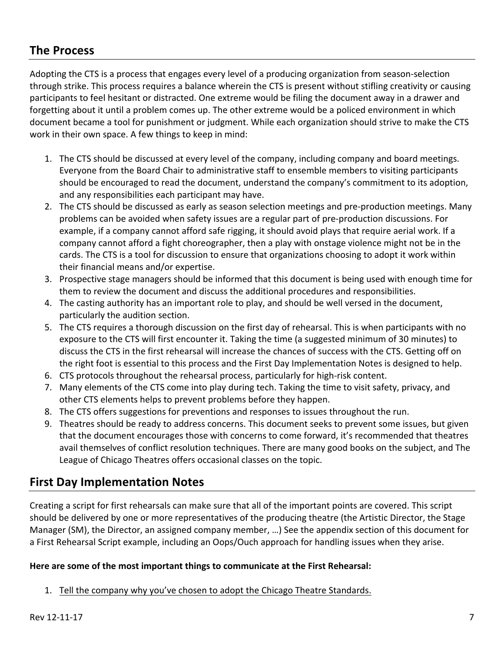## **The Process**

Adopting the CTS is a process that engages every level of a producing organization from season-selection through strike. This process requires a balance wherein the CTS is present without stifling creativity or causing participants to feel hesitant or distracted. One extreme would be filing the document away in a drawer and forgetting about it until a problem comes up. The other extreme would be a policed environment in which document became a tool for punishment or judgment. While each organization should strive to make the CTS work in their own space. A few things to keep in mind:

- 1. The CTS should be discussed at every level of the company, including company and board meetings. Everyone from the Board Chair to administrative staff to ensemble members to visiting participants should be encouraged to read the document, understand the company's commitment to its adoption, and any responsibilities each participant may have.
- 2. The CTS should be discussed as early as season selection meetings and pre-production meetings. Many problems can be avoided when safety issues are a regular part of pre-production discussions. For example, if a company cannot afford safe rigging, it should avoid plays that require aerial work. If a company cannot afford a fight choreographer, then a play with onstage violence might not be in the cards. The CTS is a tool for discussion to ensure that organizations choosing to adopt it work within their financial means and/or expertise.
- 3. Prospective stage managers should be informed that this document is being used with enough time for them to review the document and discuss the additional procedures and responsibilities.
- 4. The casting authority has an important role to play, and should be well versed in the document, particularly the audition section.
- 5. The CTS requires a thorough discussion on the first day of rehearsal. This is when participants with no exposure to the CTS will first encounter it. Taking the time (a suggested minimum of 30 minutes) to discuss the CTS in the first rehearsal will increase the chances of success with the CTS. Getting off on the right foot is essential to this process and the First Day Implementation Notes is designed to help.
- 6. CTS protocols throughout the rehearsal process, particularly for high-risk content.
- 7. Many elements of the CTS come into play during tech. Taking the time to visit safety, privacy, and other CTS elements helps to prevent problems before they happen.
- 8. The CTS offers suggestions for preventions and responses to issues throughout the run.
- 9. Theatres should be ready to address concerns. This document seeks to prevent some issues, but given that the document encourages those with concerns to come forward, it's recommended that theatres avail themselves of conflict resolution techniques. There are many good books on the subject, and The League of Chicago Theatres offers occasional classes on the topic.

## **First Day Implementation Notes**

Creating a script for first rehearsals can make sure that all of the important points are covered. This script should be delivered by one or more representatives of the producing theatre (the Artistic Director, the Stage Manager (SM), the Director, an assigned company member, ...) See the appendix section of this document for a First Rehearsal Script example, including an Oops/Ouch approach for handling issues when they arise.

#### Here are some of the most important things to communicate at the First Rehearsal:

1. Tell the company why you've chosen to adopt the Chicago Theatre Standards.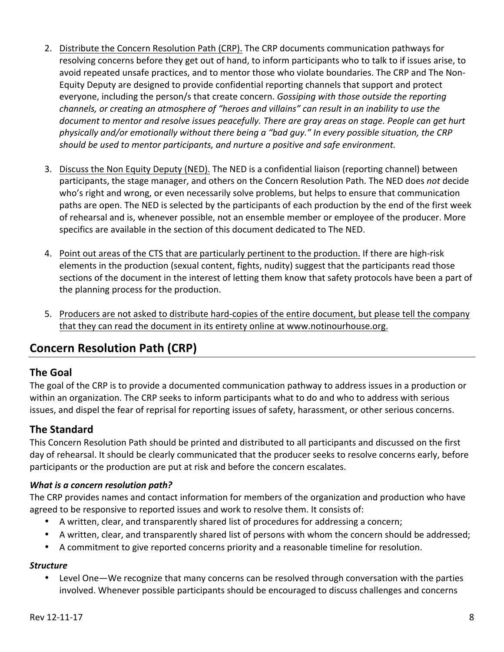- 2. Distribute the Concern Resolution Path (CRP). The CRP documents communication pathways for resolving concerns before they get out of hand, to inform participants who to talk to if issues arise, to avoid repeated unsafe practices, and to mentor those who violate boundaries. The CRP and The Non-Equity Deputy are designed to provide confidential reporting channels that support and protect everyone, including the person/s that create concern. *Gossiping with those outside the reporting channels, or creating an atmosphere of "heroes and villains" can result in an inability to use the document to mentor and resolve issues peacefully. There are gray areas on stage. People can get hurt* physically and/or emotionally without there being a "bad guy." In every possible situation, the CRP should be used to mentor participants, and nurture a positive and safe environment.
- 3. Discuss the Non Equity Deputy (NED). The NED is a confidential liaison (reporting channel) between participants, the stage manager, and others on the Concern Resolution Path. The NED does not decide who's right and wrong, or even necessarily solve problems, but helps to ensure that communication paths are open. The NED is selected by the participants of each production by the end of the first week of rehearsal and is, whenever possible, not an ensemble member or employee of the producer. More specifics are available in the section of this document dedicated to The NED.
- 4. Point out areas of the CTS that are particularly pertinent to the production. If there are high-risk elements in the production (sexual content, fights, nudity) suggest that the participants read those sections of the document in the interest of letting them know that safety protocols have been a part of the planning process for the production.
- 5. Producers are not asked to distribute hard-copies of the entire document, but please tell the company that they can read the document in its entirety online at www.notinourhouse.org.

## **Concern Resolution Path (CRP)**

### **The Goal**

The goal of the CRP is to provide a documented communication pathway to address issues in a production or within an organization. The CRP seeks to inform participants what to do and who to address with serious issues, and dispel the fear of reprisal for reporting issues of safety, harassment, or other serious concerns.

### **The Standard**

This Concern Resolution Path should be printed and distributed to all participants and discussed on the first day of rehearsal. It should be clearly communicated that the producer seeks to resolve concerns early, before participants or the production are put at risk and before the concern escalates.

#### *What is a concern resolution path?*

The CRP provides names and contact information for members of the organization and production who have agreed to be responsive to reported issues and work to resolve them. It consists of:

- A written, clear, and transparently shared list of procedures for addressing a concern;
- A written, clear, and transparently shared list of persons with whom the concern should be addressed;
- A commitment to give reported concerns priority and a reasonable timeline for resolution.

#### *Structure*

• Level One—We recognize that many concerns can be resolved through conversation with the parties involved. Whenever possible participants should be encouraged to discuss challenges and concerns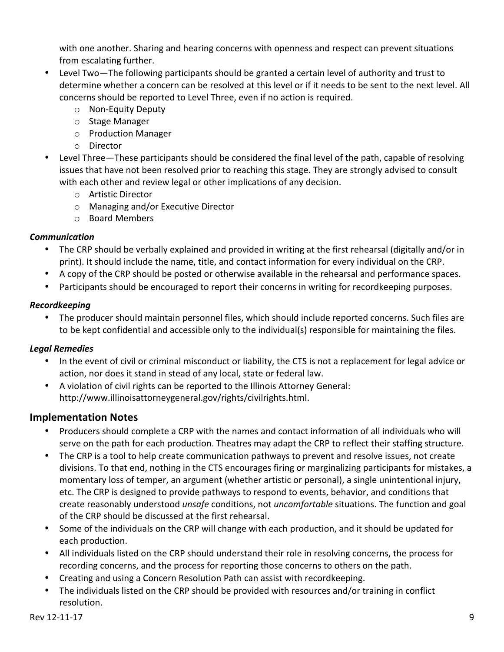with one another. Sharing and hearing concerns with openness and respect can prevent situations from escalating further.

- Level Two—The following participants should be granted a certain level of authority and trust to determine whether a concern can be resolved at this level or if it needs to be sent to the next level. All concerns should be reported to Level Three, even if no action is required.
	- o Non-Equity Deputy
	- o Stage Manager
	- o Production Manager
	- o Director
- Level Three—These participants should be considered the final level of the path, capable of resolving issues that have not been resolved prior to reaching this stage. They are strongly advised to consult with each other and review legal or other implications of any decision.
	- o Artistic Director
	- $\circ$  Managing and/or Executive Director
	- o Board Members

#### *Communication*

- The CRP should be verbally explained and provided in writing at the first rehearsal (digitally and/or in print). It should include the name, title, and contact information for every individual on the CRP.
- A copy of the CRP should be posted or otherwise available in the rehearsal and performance spaces.
- Participants should be encouraged to report their concerns in writing for recordkeeping purposes.

### *Recordkeeping*

• The producer should maintain personnel files, which should include reported concerns. Such files are to be kept confidential and accessible only to the individual(s) responsible for maintaining the files.

### *Legal Remedies*

- In the event of civil or criminal misconduct or liability, the CTS is not a replacement for legal advice or action, nor does it stand in stead of any local, state or federal law.
- A violation of civil rights can be reported to the Illinois Attorney General: http://www.illinoisattorneygeneral.gov/rights/civilrights.html.

## **Implementation Notes**

- Producers should complete a CRP with the names and contact information of all individuals who will serve on the path for each production. Theatres may adapt the CRP to reflect their staffing structure.
- The CRP is a tool to help create communication pathways to prevent and resolve issues, not create divisions. To that end, nothing in the CTS encourages firing or marginalizing participants for mistakes, a momentary loss of temper, an argument (whether artistic or personal), a single unintentional injury, etc. The CRP is designed to provide pathways to respond to events, behavior, and conditions that create reasonably understood *unsafe* conditions, not *uncomfortable* situations. The function and goal of the CRP should be discussed at the first rehearsal.
- Some of the individuals on the CRP will change with each production, and it should be updated for each production.
- All individuals listed on the CRP should understand their role in resolving concerns, the process for recording concerns, and the process for reporting those concerns to others on the path.
- Creating and using a Concern Resolution Path can assist with recordkeeping.
- The individuals listed on the CRP should be provided with resources and/or training in conflict resolution.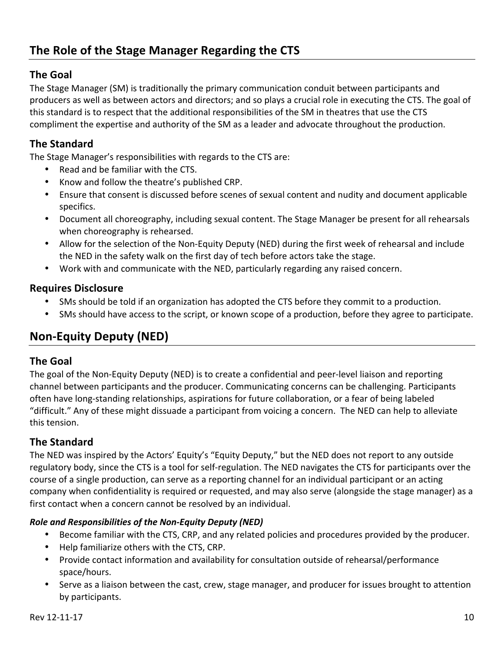### **The Goal**

The Stage Manager (SM) is traditionally the primary communication conduit between participants and producers as well as between actors and directors; and so plays a crucial role in executing the CTS. The goal of this standard is to respect that the additional responsibilities of the SM in theatres that use the CTS compliment the expertise and authority of the SM as a leader and advocate throughout the production.

## **The Standard**

The Stage Manager's responsibilities with regards to the CTS are:

- Read and be familiar with the CTS.
- Know and follow the theatre's published CRP.
- Ensure that consent is discussed before scenes of sexual content and nudity and document applicable specifics.
- Document all choreography, including sexual content. The Stage Manager be present for all rehearsals when choreography is rehearsed.
- Allow for the selection of the Non-Equity Deputy (NED) during the first week of rehearsal and include the NED in the safety walk on the first day of tech before actors take the stage.
- Work with and communicate with the NED, particularly regarding any raised concern.

#### **Requires Disclosure**

- SMs should be told if an organization has adopted the CTS before they commit to a production.
- SMs should have access to the script, or known scope of a production, before they agree to participate.

## **Non-Equity Deputy (NED)**

#### **The Goal**

The goal of the Non-Equity Deputy (NED) is to create a confidential and peer-level liaison and reporting channel between participants and the producer. Communicating concerns can be challenging. Participants often have long-standing relationships, aspirations for future collaboration, or a fear of being labeled "difficult." Any of these might dissuade a participant from voicing a concern. The NED can help to alleviate this tension.

### **The Standard**

The NED was inspired by the Actors' Equity's "Equity Deputy," but the NED does not report to any outside regulatory body, since the CTS is a tool for self-regulation. The NED navigates the CTS for participants over the course of a single production, can serve as a reporting channel for an individual participant or an acting company when confidentiality is required or requested, and may also serve (alongside the stage manager) as a first contact when a concern cannot be resolved by an individual.

#### *Role and Responsibilities of the Non-Equity Deputy (NED)*

- Become familiar with the CTS, CRP, and any related policies and procedures provided by the producer.
- Help familiarize others with the CTS, CRP.
- Provide contact information and availability for consultation outside of rehearsal/performance space/hours.
- Serve as a liaison between the cast, crew, stage manager, and producer for issues brought to attention by participants.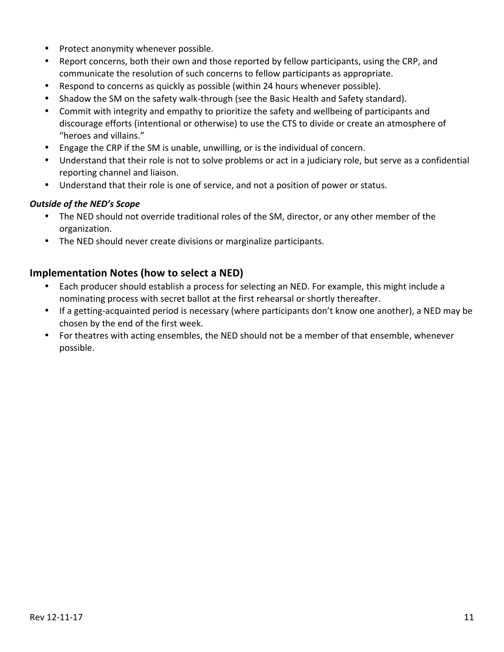- Protect anonymity whenever possible.
- Report concerns, both their own and those reported by fellow participants, using the CRP, and communicate the resolution of such concerns to fellow participants as appropriate.
- Respond to concerns as quickly as possible (within 24 hours whenever possible).
- Shadow the SM on the safety walk-through (see the Basic Health and Safety standard).
- Commit with integrity and empathy to prioritize the safety and wellbeing of participants and discourage efforts (intentional or otherwise) to use the CTS to divide or create an atmosphere of "heroes and villains."
- Engage the CRP if the SM is unable, unwilling, or is the individual of concern.
- Understand that their role is not to solve problems or act in a judiciary role, but serve as a confidential reporting channel and liaison.
- Understand that their role is one of service, and not a position of power or status.

#### **Outside of the NED's Scope**

- The NED should not override traditional roles of the SM, director, or any other member of the organization.
- The NED should never create divisions or marginalize participants.

#### **Implementation Notes (how to select a NED)**

- Each producer should establish a process for selecting an NED. For example, this might include a nominating process with secret ballot at the first rehearsal or shortly thereafter.
- If a getting-acquainted period is necessary (where participants don't know one another), a NED may be chosen by the end of the first week.
- For theatres with acting ensembles, the NED should not be a member of that ensemble, whenever possible.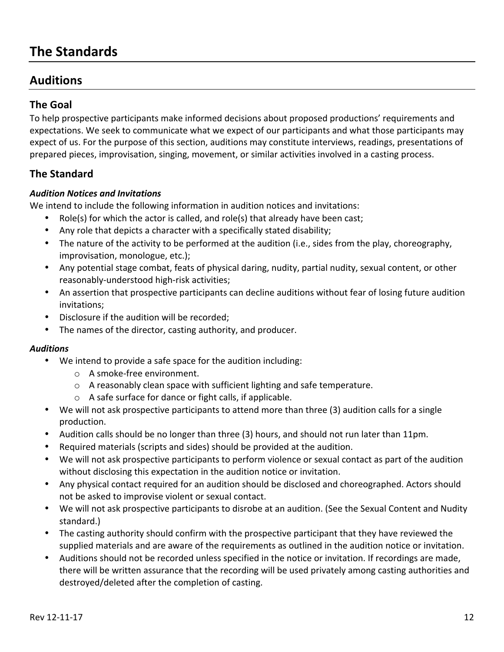# **The Standards**

## **Auditions**

### **The Goal**

To help prospective participants make informed decisions about proposed productions' requirements and expectations. We seek to communicate what we expect of our participants and what those participants may expect of us. For the purpose of this section, auditions may constitute interviews, readings, presentations of prepared pieces, improvisation, singing, movement, or similar activities involved in a casting process.

### **The Standard**

#### *Audition Notices and Invitations*

We intend to include the following information in audition notices and invitations:

- Role(s) for which the actor is called, and role(s) that already have been cast;
- Any role that depicts a character with a specifically stated disability;
- The nature of the activity to be performed at the audition (i.e., sides from the play, choreography, improvisation, monologue, etc.);
- Any potential stage combat, feats of physical daring, nudity, partial nudity, sexual content, or other reasonably-understood high-risk activities;
- An assertion that prospective participants can decline auditions without fear of losing future audition invitations;
- Disclosure if the audition will be recorded;
- The names of the director, casting authority, and producer.

#### *Auditions*

- We intend to provide a safe space for the audition including:
	- $\circ$  A smoke-free environment.
	- $\circ$  A reasonably clean space with sufficient lighting and safe temperature.
	- $\circ$  A safe surface for dance or fight calls, if applicable.
- We will not ask prospective participants to attend more than three (3) audition calls for a single production.
- Audition calls should be no longer than three (3) hours, and should not run later than 11pm.
- Required materials (scripts and sides) should be provided at the audition.
- We will not ask prospective participants to perform violence or sexual contact as part of the audition without disclosing this expectation in the audition notice or invitation.
- Any physical contact required for an audition should be disclosed and choreographed. Actors should not be asked to improvise violent or sexual contact.
- We will not ask prospective participants to disrobe at an audition. (See the Sexual Content and Nudity standard.)
- The casting authority should confirm with the prospective participant that they have reviewed the supplied materials and are aware of the requirements as outlined in the audition notice or invitation.
- Auditions should not be recorded unless specified in the notice or invitation. If recordings are made, there will be written assurance that the recording will be used privately among casting authorities and destroyed/deleted after the completion of casting.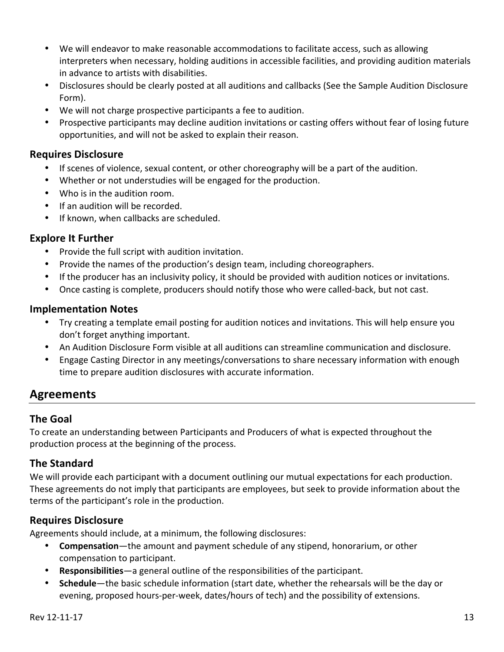- We will endeavor to make reasonable accommodations to facilitate access, such as allowing interpreters when necessary, holding auditions in accessible facilities, and providing audition materials in advance to artists with disabilities.
- Disclosures should be clearly posted at all auditions and callbacks (See the Sample Audition Disclosure Form).
- We will not charge prospective participants a fee to audition.
- Prospective participants may decline audition invitations or casting offers without fear of losing future opportunities, and will not be asked to explain their reason.

#### **Requires Disclosure**

- If scenes of violence, sexual content, or other choreography will be a part of the audition.
- Whether or not understudies will be engaged for the production.
- Who is in the audition room.
- If an audition will be recorded.
- If known, when callbacks are scheduled.

#### **Explore It Further**

- Provide the full script with audition invitation.
- Provide the names of the production's design team, including choreographers.
- If the producer has an inclusivity policy, it should be provided with audition notices or invitations.
- Once casting is complete, producers should notify those who were called-back, but not cast.

#### **Implementation Notes**

- Try creating a template email posting for audition notices and invitations. This will help ensure you don't forget anything important.
- An Audition Disclosure Form visible at all auditions can streamline communication and disclosure.
- Engage Casting Director in any meetings/conversations to share necessary information with enough time to prepare audition disclosures with accurate information.

## **Agreements**

#### **The Goal**

To create an understanding between Participants and Producers of what is expected throughout the production process at the beginning of the process.

#### **The Standard**

We will provide each participant with a document outlining our mutual expectations for each production. These agreements do not imply that participants are employees, but seek to provide information about the terms of the participant's role in the production.

### **Requires Disclosure**

Agreements should include, at a minimum, the following disclosures:

- **Compensation**—the amount and payment schedule of any stipend, honorarium, or other compensation to participant.
- **Responsibilities**—a general outline of the responsibilities of the participant.
- **Schedule**—the basic schedule information (start date, whether the rehearsals will be the day or evening, proposed hours-per-week, dates/hours of tech) and the possibility of extensions.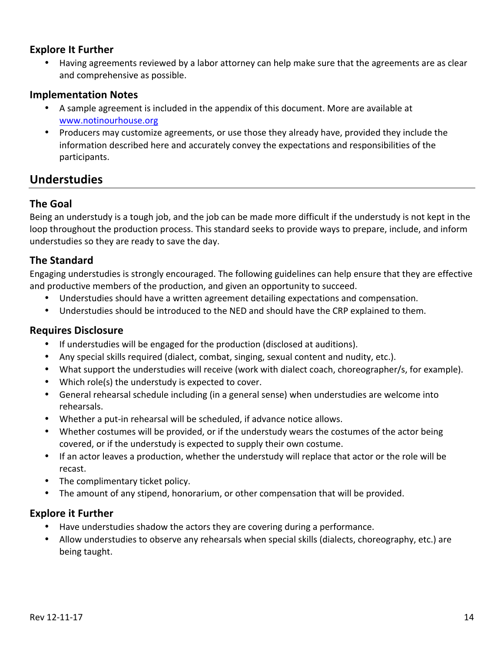#### **Explore It Further**

Having agreements reviewed by a labor attorney can help make sure that the agreements are as clear and comprehensive as possible.

#### **Implementation Notes**

- A sample agreement is included in the appendix of this document. More are available at www.notinourhouse.org
- Producers may customize agreements, or use those they already have, provided they include the information described here and accurately convey the expectations and responsibilities of the participants.

## **Understudies**

### **The Goal**

Being an understudy is a tough job, and the job can be made more difficult if the understudy is not kept in the loop throughout the production process. This standard seeks to provide ways to prepare, include, and inform understudies so they are ready to save the day.

#### **The Standard**

Engaging understudies is strongly encouraged. The following guidelines can help ensure that they are effective and productive members of the production, and given an opportunity to succeed.

- Understudies should have a written agreement detailing expectations and compensation.
- Understudies should be introduced to the NED and should have the CRP explained to them.

#### **Requires Disclosure**

- If understudies will be engaged for the production (disclosed at auditions).
- Any special skills required (dialect, combat, singing, sexual content and nudity, etc.).
- What support the understudies will receive (work with dialect coach, choreographer/s, for example).
- Which role(s) the understudy is expected to cover.
- General rehearsal schedule including (in a general sense) when understudies are welcome into rehearsals.
- Whether a put-in rehearsal will be scheduled, if advance notice allows.
- Whether costumes will be provided, or if the understudy wears the costumes of the actor being covered, or if the understudy is expected to supply their own costume.
- If an actor leaves a production, whether the understudy will replace that actor or the role will be recast.
- The complimentary ticket policy.
- The amount of any stipend, honorarium, or other compensation that will be provided.

#### **Explore it Further**

- Have understudies shadow the actors they are covering during a performance.
- Allow understudies to observe any rehearsals when special skills (dialects, choreography, etc.) are being taught.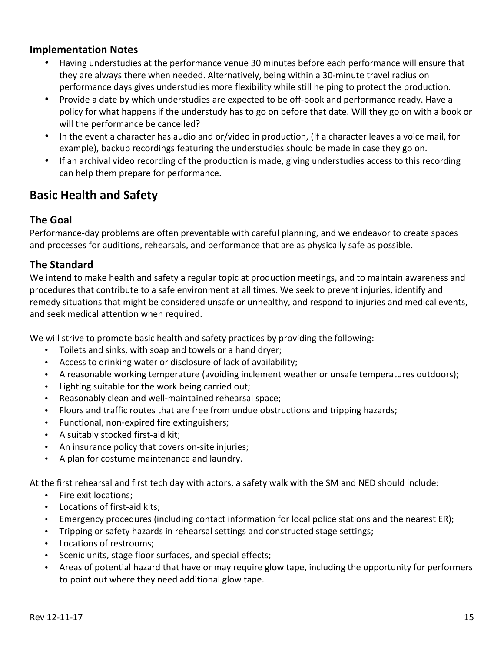#### **Implementation Notes**

- Having understudies at the performance venue 30 minutes before each performance will ensure that they are always there when needed. Alternatively, being within a 30-minute travel radius on performance days gives understudies more flexibility while still helping to protect the production.
- Provide a date by which understudies are expected to be off-book and performance ready. Have a policy for what happens if the understudy has to go on before that date. Will they go on with a book or will the performance be cancelled?
- In the event a character has audio and or/video in production, (If a character leaves a voice mail, for example), backup recordings featuring the understudies should be made in case they go on.
- If an archival video recording of the production is made, giving understudies access to this recording can help them prepare for performance.

## **Basic Health and Safety**

#### **The Goal**

Performance-day problems are often preventable with careful planning, and we endeavor to create spaces and processes for auditions, rehearsals, and performance that are as physically safe as possible.

#### **The Standard**

We intend to make health and safety a regular topic at production meetings, and to maintain awareness and procedures that contribute to a safe environment at all times. We seek to prevent injuries, identify and remedy situations that might be considered unsafe or unhealthy, and respond to injuries and medical events, and seek medical attention when required.

We will strive to promote basic health and safety practices by providing the following:

- Toilets and sinks, with soap and towels or a hand dryer;
- Access to drinking water or disclosure of lack of availability;
- A reasonable working temperature (avoiding inclement weather or unsafe temperatures outdoors);
- Lighting suitable for the work being carried out;
- Reasonably clean and well-maintained rehearsal space;
- Floors and traffic routes that are free from undue obstructions and tripping hazards;
- Functional, non-expired fire extinguishers;
- A suitably stocked first-aid kit;
- An insurance policy that covers on-site injuries;
- A plan for costume maintenance and laundry.

At the first rehearsal and first tech day with actors, a safety walk with the SM and NED should include:

- Fire exit locations:
- Locations of first-aid kits;
- Emergency procedures (including contact information for local police stations and the nearest ER);
- Tripping or safety hazards in rehearsal settings and constructed stage settings;
- Locations of restrooms;
- Scenic units, stage floor surfaces, and special effects;
- Areas of potential hazard that have or may require glow tape, including the opportunity for performers to point out where they need additional glow tape.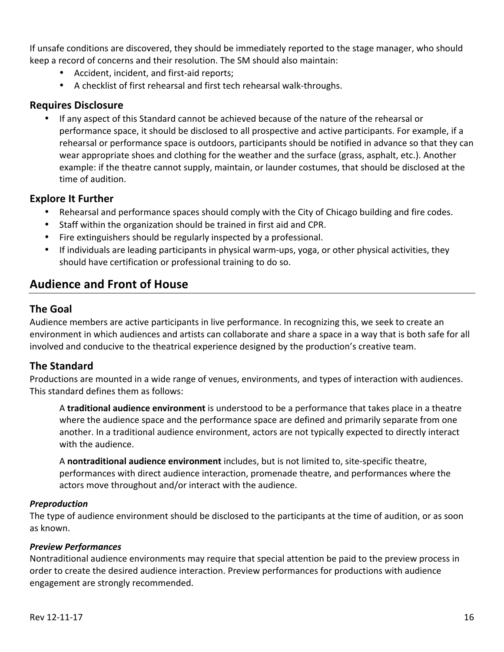If unsafe conditions are discovered, they should be immediately reported to the stage manager, who should keep a record of concerns and their resolution. The SM should also maintain:

- Accident, incident, and first-aid reports;
- A checklist of first rehearsal and first tech rehearsal walk-throughs.

### **Requires Disclosure**

If any aspect of this Standard cannot be achieved because of the nature of the rehearsal or performance space, it should be disclosed to all prospective and active participants. For example, if a rehearsal or performance space is outdoors, participants should be notified in advance so that they can wear appropriate shoes and clothing for the weather and the surface (grass, asphalt, etc.). Another example: if the theatre cannot supply, maintain, or launder costumes, that should be disclosed at the time of audition.

#### **Explore It Further**

- Rehearsal and performance spaces should comply with the City of Chicago building and fire codes.
- Staff within the organization should be trained in first aid and CPR.
- Fire extinguishers should be regularly inspected by a professional.
- If individuals are leading participants in physical warm-ups, yoga, or other physical activities, they should have certification or professional training to do so.

## **Audience and Front of House**

### **The Goal**

Audience members are active participants in live performance. In recognizing this, we seek to create an environment in which audiences and artists can collaborate and share a space in a way that is both safe for all involved and conducive to the theatrical experience designed by the production's creative team.

### **The Standard**

Productions are mounted in a wide range of venues, environments, and types of interaction with audiences. This standard defines them as follows:

A **traditional audience environment** is understood to be a performance that takes place in a theatre where the audience space and the performance space are defined and primarily separate from one another. In a traditional audience environment, actors are not typically expected to directly interact with the audience.

A nontraditional audience environment includes, but is not limited to, site-specific theatre, performances with direct audience interaction, promenade theatre, and performances where the actors move throughout and/or interact with the audience.

#### *Preproduction*

The type of audience environment should be disclosed to the participants at the time of audition, or as soon as known.

#### *Preview Performances*

Nontraditional audience environments may require that special attention be paid to the preview process in order to create the desired audience interaction. Preview performances for productions with audience engagement are strongly recommended.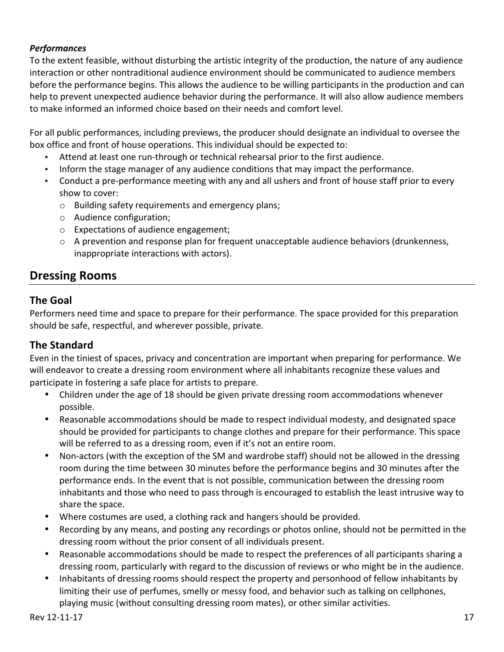#### *Performances*

To the extent feasible, without disturbing the artistic integrity of the production, the nature of any audience interaction or other nontraditional audience environment should be communicated to audience members before the performance begins. This allows the audience to be willing participants in the production and can help to prevent unexpected audience behavior during the performance. It will also allow audience members to make informed an informed choice based on their needs and comfort level.

For all public performances, including previews, the producer should designate an individual to oversee the box office and front of house operations. This individual should be expected to:

- Attend at least one run-through or technical rehearsal prior to the first audience.
- Inform the stage manager of any audience conditions that may impact the performance.
- Conduct a pre-performance meeting with any and all ushers and front of house staff prior to every show to cover:
	- o Building safety requirements and emergency plans;
	- o Audience configuration;
	- $\circ$  Expectations of audience engagement;
	- $\circ$  A prevention and response plan for frequent unacceptable audience behaviors (drunkenness, inappropriate interactions with actors).

## **Dressing Rooms**

### **The Goal**

Performers need time and space to prepare for their performance. The space provided for this preparation should be safe, respectful, and wherever possible, private.

### **The Standard**

Even in the tiniest of spaces, privacy and concentration are important when preparing for performance. We will endeavor to create a dressing room environment where all inhabitants recognize these values and participate in fostering a safe place for artists to prepare.

- Children under the age of 18 should be given private dressing room accommodations whenever possible.
- Reasonable accommodations should be made to respect individual modesty, and designated space should be provided for participants to change clothes and prepare for their performance. This space will be referred to as a dressing room, even if it's not an entire room.
- Non-actors (with the exception of the SM and wardrobe staff) should not be allowed in the dressing room during the time between 30 minutes before the performance begins and 30 minutes after the performance ends. In the event that is not possible, communication between the dressing room inhabitants and those who need to pass through is encouraged to establish the least intrusive way to share the space.
- Where costumes are used, a clothing rack and hangers should be provided.
- Recording by any means, and posting any recordings or photos online, should not be permitted in the dressing room without the prior consent of all individuals present.
- Reasonable accommodations should be made to respect the preferences of all participants sharing a dressing room, particularly with regard to the discussion of reviews or who might be in the audience.
- Inhabitants of dressing rooms should respect the property and personhood of fellow inhabitants by limiting their use of perfumes, smelly or messy food, and behavior such as talking on cellphones, playing music (without consulting dressing room mates), or other similar activities.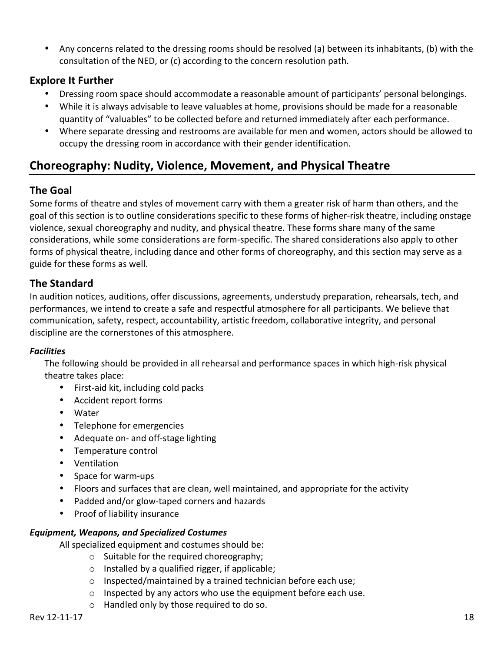• Any concerns related to the dressing rooms should be resolved (a) between its inhabitants, (b) with the consultation of the NED, or (c) according to the concern resolution path.

### **Explore It Further**

- Dressing room space should accommodate a reasonable amount of participants' personal belongings.
- While it is always advisable to leave valuables at home, provisions should be made for a reasonable quantity of "valuables" to be collected before and returned immediately after each performance.
- Where separate dressing and restrooms are available for men and women, actors should be allowed to occupy the dressing room in accordance with their gender identification.

## **Choreography: Nudity, Violence, Movement, and Physical Theatre**

## **The Goal**

Some forms of theatre and styles of movement carry with them a greater risk of harm than others, and the goal of this section is to outline considerations specific to these forms of higher-risk theatre, including onstage violence, sexual choreography and nudity, and physical theatre. These forms share many of the same considerations, while some considerations are form-specific. The shared considerations also apply to other forms of physical theatre, including dance and other forms of choreography, and this section may serve as a guide for these forms as well.

### **The Standard**

In audition notices, auditions, offer discussions, agreements, understudy preparation, rehearsals, tech, and performances, we intend to create a safe and respectful atmosphere for all participants. We believe that communication, safety, respect, accountability, artistic freedom, collaborative integrity, and personal discipline are the cornerstones of this atmosphere.

#### *Facilities*

The following should be provided in all rehearsal and performance spaces in which high-risk physical theatre takes place:

- First-aid kit, including cold packs
- Accident report forms
- Water
- Telephone for emergencies
- Adequate on- and off-stage lighting
- Temperature control
- Ventilation
- Space for warm-ups
- Floors and surfaces that are clean, well maintained, and appropriate for the activity
- Padded and/or glow-taped corners and hazards
- Proof of liability insurance

#### *Equipment, Weapons, and Specialized Costumes*

All specialized equipment and costumes should be:

- $\circ$  Suitable for the required choreography;
- $\circ$  Installed by a qualified rigger, if applicable;
- $\circ$  Inspected/maintained by a trained technician before each use;
- $\circ$  Inspected by any actors who use the equipment before each use.
- $\circ$  Handled only by those required to do so.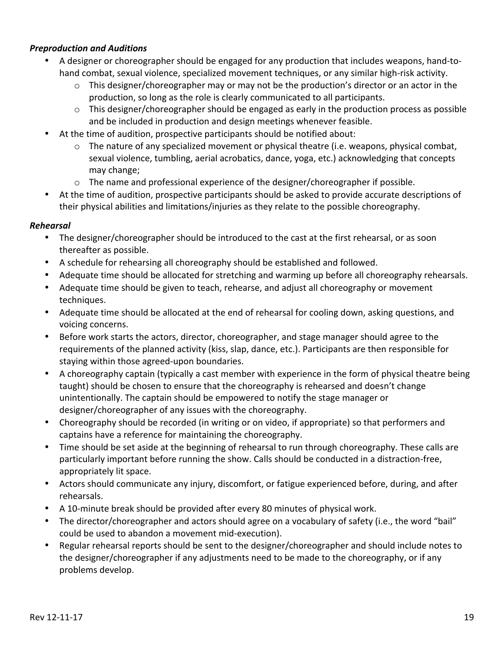#### *Preproduction and Auditions*

- A designer or choreographer should be engaged for any production that includes weapons, hand-tohand combat, sexual violence, specialized movement techniques, or any similar high-risk activity.
	- $\circ$  This designer/choreographer may or may not be the production's director or an actor in the production, so long as the role is clearly communicated to all participants.
	- $\circ$  This designer/choreographer should be engaged as early in the production process as possible and be included in production and design meetings whenever feasible.
- At the time of audition, prospective participants should be notified about:
	- $\circ$  The nature of any specialized movement or physical theatre (i.e. weapons, physical combat, sexual violence, tumbling, aerial acrobatics, dance, yoga, etc.) acknowledging that concepts may change;
	- $\circ$  The name and professional experience of the designer/choreographer if possible.
- At the time of audition, prospective participants should be asked to provide accurate descriptions of their physical abilities and limitations/injuries as they relate to the possible choreography.

#### *Rehearsal*

- The designer/choreographer should be introduced to the cast at the first rehearsal, or as soon thereafter as possible.
- A schedule for rehearsing all choreography should be established and followed.
- Adequate time should be allocated for stretching and warming up before all choreography rehearsals.
- Adequate time should be given to teach, rehearse, and adjust all choreography or movement techniques.
- Adequate time should be allocated at the end of rehearsal for cooling down, asking questions, and voicing concerns.
- Before work starts the actors, director, choreographer, and stage manager should agree to the requirements of the planned activity (kiss, slap, dance, etc.). Participants are then responsible for staying within those agreed-upon boundaries.
- A choreography captain (typically a cast member with experience in the form of physical theatre being taught) should be chosen to ensure that the choreography is rehearsed and doesn't change unintentionally. The captain should be empowered to notify the stage manager or designer/choreographer of any issues with the choreography.
- Choreography should be recorded (in writing or on video, if appropriate) so that performers and captains have a reference for maintaining the choreography.
- Time should be set aside at the beginning of rehearsal to run through choreography. These calls are particularly important before running the show. Calls should be conducted in a distraction-free, appropriately lit space.
- Actors should communicate any injury, discomfort, or fatigue experienced before, during, and after rehearsals.
- A 10-minute break should be provided after every 80 minutes of physical work.
- The director/choreographer and actors should agree on a vocabulary of safety (i.e., the word "bail" could be used to abandon a movement mid-execution).
- Regular rehearsal reports should be sent to the designer/choreographer and should include notes to the designer/choreographer if any adjustments need to be made to the choreography, or if any problems develop.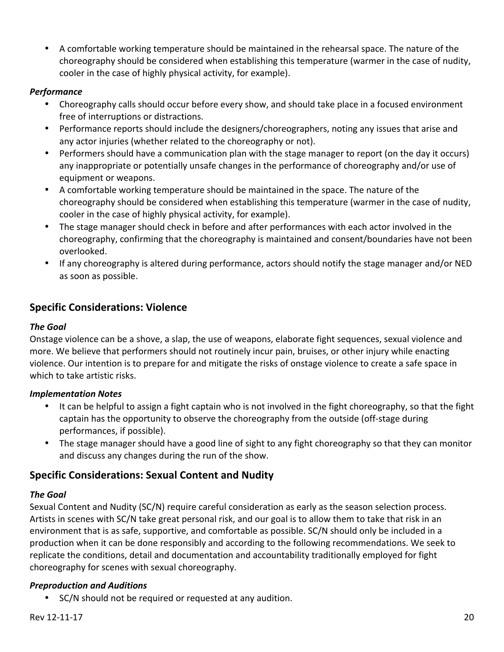• A comfortable working temperature should be maintained in the rehearsal space. The nature of the choreography should be considered when establishing this temperature (warmer in the case of nudity, cooler in the case of highly physical activity, for example).

#### *Performance*

- Choreography calls should occur before every show, and should take place in a focused environment free of interruptions or distractions.
- Performance reports should include the designers/choreographers, noting any issues that arise and any actor injuries (whether related to the choreography or not).
- Performers should have a communication plan with the stage manager to report (on the day it occurs) any inappropriate or potentially unsafe changes in the performance of choreography and/or use of equipment or weapons.
- A comfortable working temperature should be maintained in the space. The nature of the choreography should be considered when establishing this temperature (warmer in the case of nudity, cooler in the case of highly physical activity, for example).
- The stage manager should check in before and after performances with each actor involved in the choreography, confirming that the choreography is maintained and consent/boundaries have not been overlooked.
- If any choreography is altered during performance, actors should notify the stage manager and/or NED as soon as possible.

## **Specific Considerations: Violence**

#### *The Goal*

Onstage violence can be a shove, a slap, the use of weapons, elaborate fight sequences, sexual violence and more. We believe that performers should not routinely incur pain, bruises, or other injury while enacting violence. Our intention is to prepare for and mitigate the risks of onstage violence to create a safe space in which to take artistic risks.

#### *Implementation Notes*

- It can be helpful to assign a fight captain who is not involved in the fight choreography, so that the fight captain has the opportunity to observe the choreography from the outside (off-stage during performances, if possible).
- The stage manager should have a good line of sight to any fight choreography so that they can monitor and discuss any changes during the run of the show.

## **Specific Considerations: Sexual Content and Nudity**

#### *The Goal*

Sexual Content and Nudity (SC/N) require careful consideration as early as the season selection process. Artists in scenes with SC/N take great personal risk, and our goal is to allow them to take that risk in an environment that is as safe, supportive, and comfortable as possible. SC/N should only be included in a production when it can be done responsibly and according to the following recommendations. We seek to replicate the conditions, detail and documentation and accountability traditionally employed for fight choreography for scenes with sexual choreography.

### *Preproduction and Auditions*

• SC/N should not be required or requested at any audition.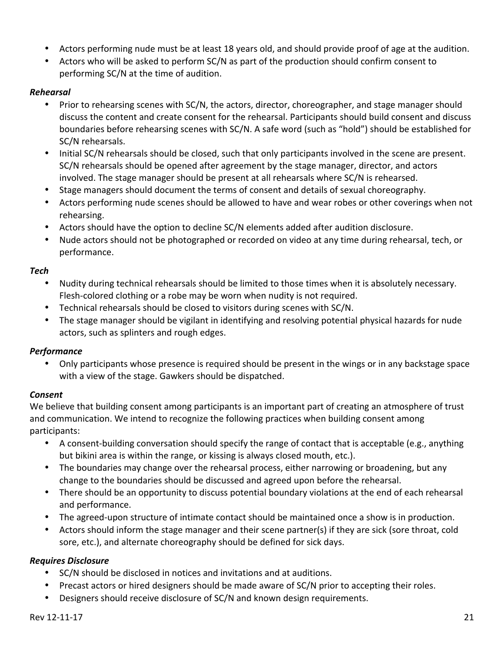- Actors performing nude must be at least 18 years old, and should provide proof of age at the audition.
- Actors who will be asked to perform SC/N as part of the production should confirm consent to performing SC/N at the time of audition.

#### *Rehearsal*

- Prior to rehearsing scenes with SC/N, the actors, director, choreographer, and stage manager should discuss the content and create consent for the rehearsal. Participants should build consent and discuss boundaries before rehearsing scenes with SC/N. A safe word (such as "hold") should be established for SC/N rehearsals.
- Initial SC/N rehearsals should be closed, such that only participants involved in the scene are present. SC/N rehearsals should be opened after agreement by the stage manager, director, and actors involved. The stage manager should be present at all rehearsals where SC/N is rehearsed.
- Stage managers should document the terms of consent and details of sexual choreography.
- Actors performing nude scenes should be allowed to have and wear robes or other coverings when not rehearsing.
- Actors should have the option to decline SC/N elements added after audition disclosure.
- Nude actors should not be photographed or recorded on video at any time during rehearsal, tech, or performance.

#### *Tech*

- Nudity during technical rehearsals should be limited to those times when it is absolutely necessary. Flesh-colored clothing or a robe may be worn when nudity is not required.
- Technical rehearsals should be closed to visitors during scenes with SC/N.
- The stage manager should be vigilant in identifying and resolving potential physical hazards for nude actors, such as splinters and rough edges.

#### *Performance*

Only participants whose presence is required should be present in the wings or in any backstage space with a view of the stage. Gawkers should be dispatched.

#### *Consent*

We believe that building consent among participants is an important part of creating an atmosphere of trust and communication. We intend to recognize the following practices when building consent among participants:

- A consent-building conversation should specify the range of contact that is acceptable (e.g., anything but bikini area is within the range, or kissing is always closed mouth, etc.).
- The boundaries may change over the rehearsal process, either narrowing or broadening, but any change to the boundaries should be discussed and agreed upon before the rehearsal.
- There should be an opportunity to discuss potential boundary violations at the end of each rehearsal and performance.
- The agreed-upon structure of intimate contact should be maintained once a show is in production.
- Actors should inform the stage manager and their scene partner(s) if they are sick (sore throat, cold sore, etc.), and alternate choreography should be defined for sick days.

#### *Requires Disclosure*

- SC/N should be disclosed in notices and invitations and at auditions.
- Precast actors or hired designers should be made aware of SC/N prior to accepting their roles.
- Designers should receive disclosure of SC/N and known design requirements.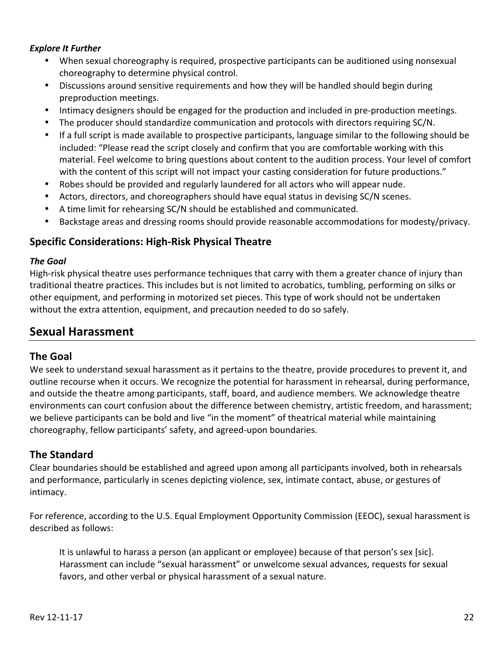#### **Explore It Further**

- When sexual choreography is required, prospective participants can be auditioned using nonsexual choreography to determine physical control.
- Discussions around sensitive requirements and how they will be handled should begin during preproduction meetings.
- Intimacy designers should be engaged for the production and included in pre-production meetings.
- The producer should standardize communication and protocols with directors requiring SC/N.
- If a full script is made available to prospective participants, language similar to the following should be included: "Please read the script closely and confirm that you are comfortable working with this material. Feel welcome to bring questions about content to the audition process. Your level of comfort with the content of this script will not impact your casting consideration for future productions."
- Robes should be provided and regularly laundered for all actors who will appear nude.
- Actors, directors, and choreographers should have equal status in devising SC/N scenes.
- A time limit for rehearsing SC/N should be established and communicated.
- Backstage areas and dressing rooms should provide reasonable accommodations for modesty/privacy.

#### **Specific Considerations: High-Risk Physical Theatre**

#### *The Goal*

High-risk physical theatre uses performance techniques that carry with them a greater chance of injury than traditional theatre practices. This includes but is not limited to acrobatics, tumbling, performing on silks or other equipment, and performing in motorized set pieces. This type of work should not be undertaken without the extra attention, equipment, and precaution needed to do so safely.

## **Sexual Harassment**

#### **The Goal**

We seek to understand sexual harassment as it pertains to the theatre, provide procedures to prevent it, and outline recourse when it occurs. We recognize the potential for harassment in rehearsal, during performance, and outside the theatre among participants, staff, board, and audience members. We acknowledge theatre environments can court confusion about the difference between chemistry, artistic freedom, and harassment; we believe participants can be bold and live "in the moment" of theatrical material while maintaining choreography, fellow participants' safety, and agreed-upon boundaries.

#### **The Standard**

Clear boundaries should be established and agreed upon among all participants involved, both in rehearsals and performance, particularly in scenes depicting violence, sex, intimate contact, abuse, or gestures of intimacy. 

For reference, according to the U.S. Equal Employment Opportunity Commission (EEOC), sexual harassment is described as follows:

It is unlawful to harass a person (an applicant or employee) because of that person's sex [sic]. Harassment can include "sexual harassment" or unwelcome sexual advances, requests for sexual favors, and other verbal or physical harassment of a sexual nature.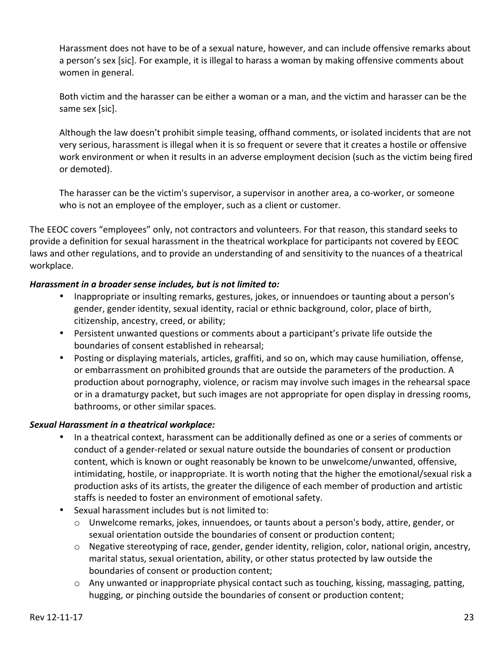Harassment does not have to be of a sexual nature, however, and can include offensive remarks about a person's sex [sic]. For example, it is illegal to harass a woman by making offensive comments about women in general.

Both victim and the harasser can be either a woman or a man, and the victim and harasser can be the same sex [sic].

Although the law doesn't prohibit simple teasing, offhand comments, or isolated incidents that are not very serious, harassment is illegal when it is so frequent or severe that it creates a hostile or offensive work environment or when it results in an adverse employment decision (such as the victim being fired or demoted). 

The harasser can be the victim's supervisor, a supervisor in another area, a co-worker, or someone who is not an employee of the employer, such as a client or customer.

The EEOC covers "employees" only, not contractors and volunteers. For that reason, this standard seeks to provide a definition for sexual harassment in the theatrical workplace for participants not covered by EEOC laws and other regulations, and to provide an understanding of and sensitivity to the nuances of a theatrical workplace.

#### *Harassment in a broader sense includes, but is not limited to:*

- Inappropriate or insulting remarks, gestures, jokes, or innuendoes or taunting about a person's gender, gender identity, sexual identity, racial or ethnic background, color, place of birth, citizenship, ancestry, creed, or ability;
- Persistent unwanted questions or comments about a participant's private life outside the boundaries of consent established in rehearsal;
- Posting or displaying materials, articles, graffiti, and so on, which may cause humiliation, offense, or embarrassment on prohibited grounds that are outside the parameters of the production. A production about pornography, violence, or racism may involve such images in the rehearsal space or in a dramaturgy packet, but such images are not appropriate for open display in dressing rooms, bathrooms, or other similar spaces.

#### Sexual Harassment in a theatrical workplace:

- In a theatrical context, harassment can be additionally defined as one or a series of comments or conduct of a gender-related or sexual nature outside the boundaries of consent or production content, which is known or ought reasonably be known to be unwelcome/unwanted, offensive, intimidating, hostile, or inappropriate. It is worth noting that the higher the emotional/sexual risk a production asks of its artists, the greater the diligence of each member of production and artistic staffs is needed to foster an environment of emotional safety.
- Sexual harassment includes but is not limited to:
	- $\circ$  Unwelcome remarks, jokes, innuendoes, or taunts about a person's body, attire, gender, or sexual orientation outside the boundaries of consent or production content;
	- $\circ$  Negative stereotyping of race, gender, gender identity, religion, color, national origin, ancestry, marital status, sexual orientation, ability, or other status protected by law outside the boundaries of consent or production content;
	- $\circ$  Any unwanted or inappropriate physical contact such as touching, kissing, massaging, patting, hugging, or pinching outside the boundaries of consent or production content;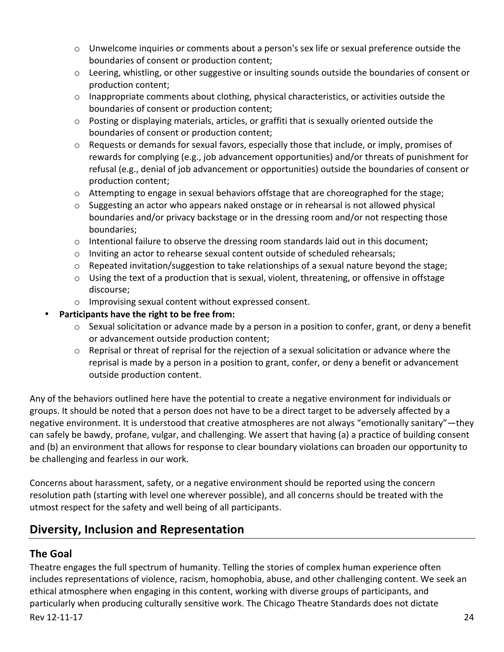- o Unwelcome inquiries or comments about a person's sex life or sexual preference outside the boundaries of consent or production content;
- $\circ$  Leering, whistling, or other suggestive or insulting sounds outside the boundaries of consent or production content;
- $\circ$  Inappropriate comments about clothing, physical characteristics, or activities outside the boundaries of consent or production content;
- $\circ$  Posting or displaying materials, articles, or graffiti that is sexually oriented outside the boundaries of consent or production content;
- o Requests or demands for sexual favors, especially those that include, or imply, promises of rewards for complying (e.g., job advancement opportunities) and/or threats of punishment for refusal (e.g., denial of job advancement or opportunities) outside the boundaries of consent or production content;
- $\circ$  Attempting to engage in sexual behaviors offstage that are choreographed for the stage;
- $\circ$  Suggesting an actor who appears naked onstage or in rehearsal is not allowed physical boundaries and/or privacy backstage or in the dressing room and/or not respecting those boundaries;
- $\circ$  Intentional failure to observe the dressing room standards laid out in this document;
- $\circ$  Inviting an actor to rehearse sexual content outside of scheduled rehearsals;
- $\circ$  Repeated invitation/suggestion to take relationships of a sexual nature beyond the stage;
- $\circ$  Using the text of a production that is sexual, violent, threatening, or offensive in offstage discourse;
- $\circ$  Improvising sexual content without expressed consent.

#### Participants have the right to be free from:

- $\circ$  Sexual solicitation or advance made by a person in a position to confer, grant, or deny a benefit or advancement outside production content;
- $\circ$  Reprisal or threat of reprisal for the rejection of a sexual solicitation or advance where the reprisal is made by a person in a position to grant, confer, or deny a benefit or advancement outside production content.

Any of the behaviors outlined here have the potential to create a negative environment for individuals or groups. It should be noted that a person does not have to be a direct target to be adversely affected by a negative environment. It is understood that creative atmospheres are not always "emotionally sanitary"—they can safely be bawdy, profane, vulgar, and challenging. We assert that having (a) a practice of building consent and (b) an environment that allows for response to clear boundary violations can broaden our opportunity to be challenging and fearless in our work.

Concerns about harassment, safety, or a negative environment should be reported using the concern resolution path (starting with level one wherever possible), and all concerns should be treated with the utmost respect for the safety and well being of all participants.

## **Diversity, Inclusion and Representation**

### **The Goal**

Theatre engages the full spectrum of humanity. Telling the stories of complex human experience often includes representations of violence, racism, homophobia, abuse, and other challenging content. We seek an ethical atmosphere when engaging in this content, working with diverse groups of participants, and particularly when producing culturally sensitive work. The Chicago Theatre Standards does not dictate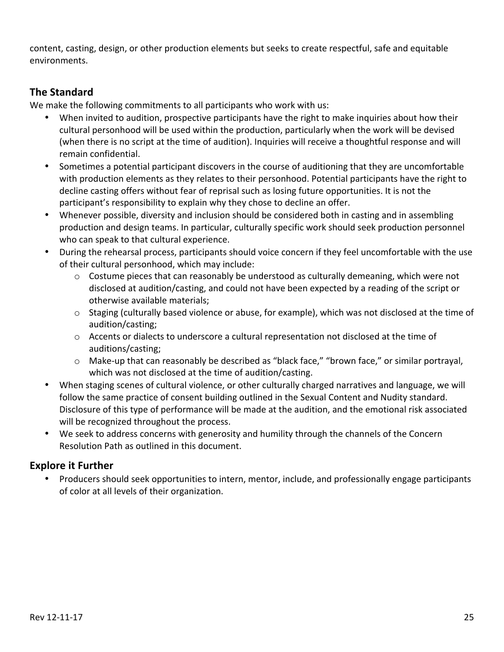content, casting, design, or other production elements but seeks to create respectful, safe and equitable environments.

## **The Standard**

We make the following commitments to all participants who work with us:

- When invited to audition, prospective participants have the right to make inquiries about how their cultural personhood will be used within the production, particularly when the work will be devised (when there is no script at the time of audition). Inquiries will receive a thoughtful response and will remain confidential.
- Sometimes a potential participant discovers in the course of auditioning that they are uncomfortable with production elements as they relates to their personhood. Potential participants have the right to decline casting offers without fear of reprisal such as losing future opportunities. It is not the participant's responsibility to explain why they chose to decline an offer.
- Whenever possible, diversity and inclusion should be considered both in casting and in assembling production and design teams. In particular, culturally specific work should seek production personnel who can speak to that cultural experience.
- During the rehearsal process, participants should voice concern if they feel uncomfortable with the use of their cultural personhood, which may include:
	- $\circ$  Costume pieces that can reasonably be understood as culturally demeaning, which were not disclosed at audition/casting, and could not have been expected by a reading of the script or otherwise available materials;
	- $\circ$  Staging (culturally based violence or abuse, for example), which was not disclosed at the time of audition/casting;
	- $\circ$  Accents or dialects to underscore a cultural representation not disclosed at the time of auditions/casting;
	- o Make-up that can reasonably be described as "black face," "brown face," or similar portrayal, which was not disclosed at the time of audition/casting.
- When staging scenes of cultural violence, or other culturally charged narratives and language, we will follow the same practice of consent building outlined in the Sexual Content and Nudity standard. Disclosure of this type of performance will be made at the audition, and the emotional risk associated will be recognized throughout the process.
- We seek to address concerns with generosity and humility through the channels of the Concern Resolution Path as outlined in this document.

### **Explore it Further**

Producers should seek opportunities to intern, mentor, include, and professionally engage participants of color at all levels of their organization.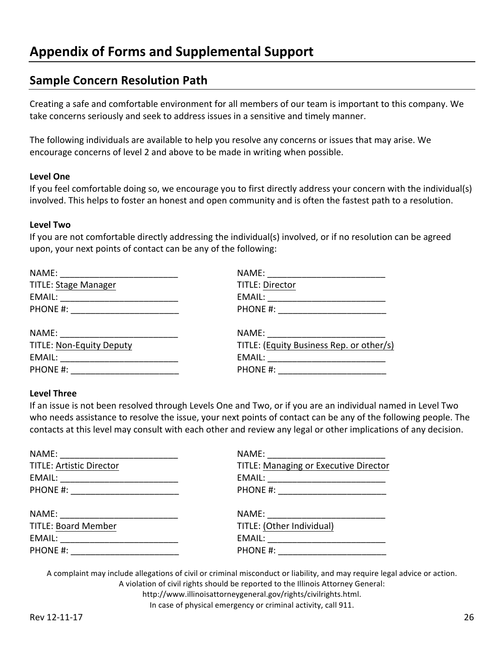## **Sample Concern Resolution Path**

Creating a safe and comfortable environment for all members of our team is important to this company. We take concerns seriously and seek to address issues in a sensitive and timely manner.

The following individuals are available to help you resolve any concerns or issues that may arise. We encourage concerns of level 2 and above to be made in writing when possible.

#### **Level One**

If you feel comfortable doing so, we encourage you to first directly address your concern with the individual(s) involved. This helps to foster an honest and open community and is often the fastest path to a resolution.

#### **Level Two**

If you are not comfortable directly addressing the individual(s) involved, or if no resolution can be agreed upon, your next points of contact can be any of the following:

| NAME: ________________________           |
|------------------------------------------|
| <b>TITLE: Director</b>                   |
| EMAIL: ____________________________      |
| PHONE #: _______________________         |
|                                          |
| TITLE: (Equity Business Rep. or other/s) |
| EMAIL: _________________________         |
| PHONE #: ______________________          |
|                                          |

#### **Level Three**

If an issue is not been resolved through Levels One and Two, or if you are an individual named in Level Two who needs assistance to resolve the issue, your next points of contact can be any of the following people. The contacts at this level may consult with each other and review any legal or other implications of any decision.

| NAME: __________________________             |
|----------------------------------------------|
| <b>TITLE: Managing or Executive Director</b> |
|                                              |
| PHONE #: ______________________              |
| NAME: ___________________________            |
| TITLE: (Other Individual)                    |
| EMAIL: _______________________               |
|                                              |
|                                              |

A complaint may include allegations of civil or criminal misconduct or liability, and may require legal advice or action. A violation of civil rights should be reported to the Illinois Attorney General:

http://www.illinoisattorneygeneral.gov/rights/civilrights.html.

In case of physical emergency or criminal activity, call 911.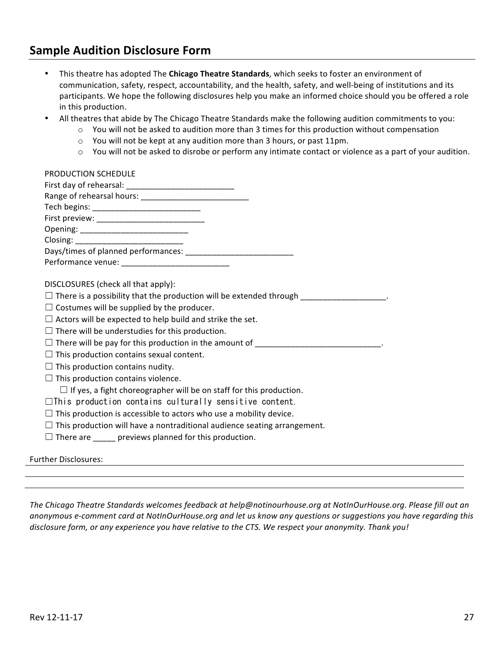## **Sample Audition Disclosure Form**

- This theatre has adopted The **Chicago Theatre Standards**, which seeks to foster an environment of communication, safety, respect, accountability, and the health, safety, and well-being of institutions and its participants. We hope the following disclosures help you make an informed choice should you be offered a role in this production.
- All theatres that abide by The Chicago Theatre Standards make the following audition commitments to you:
	- $\circ$  You will not be asked to audition more than 3 times for this production without compensation
	- o You will not be kept at any audition more than 3 hours, or past 11pm.
	- $\circ$  You will not be asked to disrobe or perform any intimate contact or violence as a part of your audition.

| PRODUCTION SCHEDULE                                                                             |
|-------------------------------------------------------------------------------------------------|
| DISCLOSURES (check all that apply):                                                             |
| $\Box$ There is a possibility that the production will be extended through ___________________. |
| $\Box$ Costumes will be supplied by the producer.                                               |
| $\Box$ Actors will be expected to help build and strike the set.                                |
| $\Box$ There will be understudies for this production.                                          |
| $\Box$ There will be pay for this production in the amount of $\Box$                            |
| $\Box$ This production contains sexual content.                                                 |
| $\Box$ This production contains nudity.                                                         |
| $\Box$ This production contains violence.                                                       |
| $\Box$ If yes, a fight choreographer will be on staff for this production.                      |
| $\Box$ This production contains culturally sensitive content.                                   |
| $\Box$ This production is accessible to actors who use a mobility device.                       |

- $\Box$  This production will have a nontraditional audience seating arrangement.
- $\Box$  There are \_\_\_\_\_\_ previews planned for this production.

#### Further Disclosures:

The Chicago Theatre Standards welcomes feedback at help@notinourhouse.org at NotInOurHouse.org. Please fill out an anonymous e-comment card at NotInOurHouse.org and let us know any questions or suggestions you have regarding this *disclosure form, or any experience you have relative to the CTS. We respect your anonymity. Thank you!*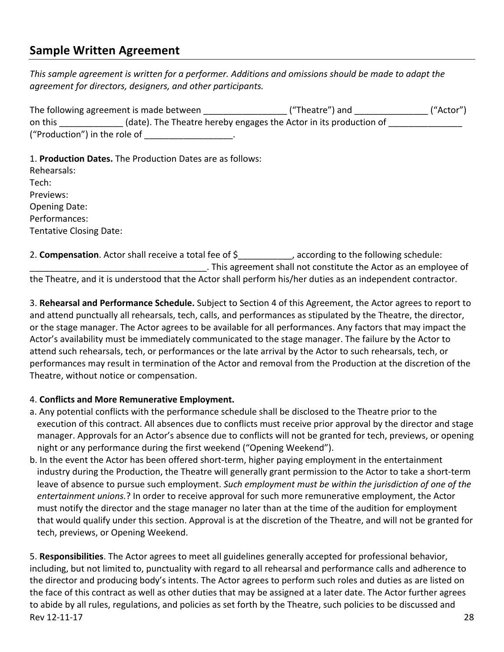## **Sample Written Agreement**

This sample agreement is written for a performer. Additions and omissions should be made to adapt the agreement for directors, designers, and other participants.

| The following agreement is made between | ("Theatre") and                                                   | ("Actor") |
|-----------------------------------------|-------------------------------------------------------------------|-----------|
| on this                                 | (date). The Theatre hereby engages the Actor in its production of |           |
| ("Production") in the role of           |                                                                   |           |

1. **Production Dates.** The Production Dates are as follows:

| Rehearsals:                    |
|--------------------------------|
| Tech:                          |
| Previews:                      |
| <b>Opening Date:</b>           |
| Performances:                  |
| <b>Tentative Closing Date:</b> |

2. **Compensation**. Actor shall receive a total fee of  $\oint$ , according to the following schedule: ... This agreement shall not constitute the Actor as an employee of the Theatre, and it is understood that the Actor shall perform his/her duties as an independent contractor.

3. Rehearsal and Performance Schedule. Subject to Section 4 of this Agreement, the Actor agrees to report to and attend punctually all rehearsals, tech, calls, and performances as stipulated by the Theatre, the director, or the stage manager. The Actor agrees to be available for all performances. Any factors that may impact the Actor's availability must be immediately communicated to the stage manager. The failure by the Actor to attend such rehearsals, tech, or performances or the late arrival by the Actor to such rehearsals, tech, or performances may result in termination of the Actor and removal from the Production at the discretion of the Theatre, without notice or compensation.

#### 4. **Conflicts and More Remunerative Employment.**

- a. Any potential conflicts with the performance schedule shall be disclosed to the Theatre prior to the execution of this contract. All absences due to conflicts must receive prior approval by the director and stage manager. Approvals for an Actor's absence due to conflicts will not be granted for tech, previews, or opening night or any performance during the first weekend ("Opening Weekend").
- b. In the event the Actor has been offered short-term, higher paying employment in the entertainment industry during the Production, the Theatre will generally grant permission to the Actor to take a short-term leave of absence to pursue such employment. Such employment must be within the jurisdiction of one of the entertainment *unions.*? In order to receive approval for such more remunerative employment, the Actor must notify the director and the stage manager no later than at the time of the audition for employment that would qualify under this section. Approval is at the discretion of the Theatre, and will not be granted for tech, previews, or Opening Weekend.

 $\text{Rev } 12\text{-}11\text{-}17$  28 5. Responsibilities. The Actor agrees to meet all guidelines generally accepted for professional behavior, including, but not limited to, punctuality with regard to all rehearsal and performance calls and adherence to the director and producing body's intents. The Actor agrees to perform such roles and duties as are listed on the face of this contract as well as other duties that may be assigned at a later date. The Actor further agrees to abide by all rules, regulations, and policies as set forth by the Theatre, such policies to be discussed and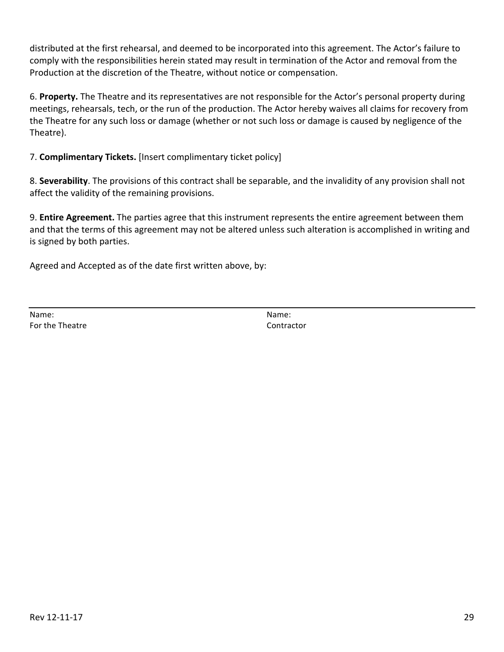distributed at the first rehearsal, and deemed to be incorporated into this agreement. The Actor's failure to comply with the responsibilities herein stated may result in termination of the Actor and removal from the Production at the discretion of the Theatre, without notice or compensation.

6. Property. The Theatre and its representatives are not responsible for the Actor's personal property during meetings, rehearsals, tech, or the run of the production. The Actor hereby waives all claims for recovery from the Theatre for any such loss or damage (whether or not such loss or damage is caused by negligence of the Theatre).

#### 7. **Complimentary Tickets.** [Insert complimentary ticket policy]

8. Severability. The provisions of this contract shall be separable, and the invalidity of any provision shall not affect the validity of the remaining provisions.

9. **Entire Agreement.** The parties agree that this instrument represents the entire agreement between them and that the terms of this agreement may not be altered unless such alteration is accomplished in writing and is signed by both parties.

Agreed and Accepted as of the date first written above, by:

Name: Name: For the Theatre Contractor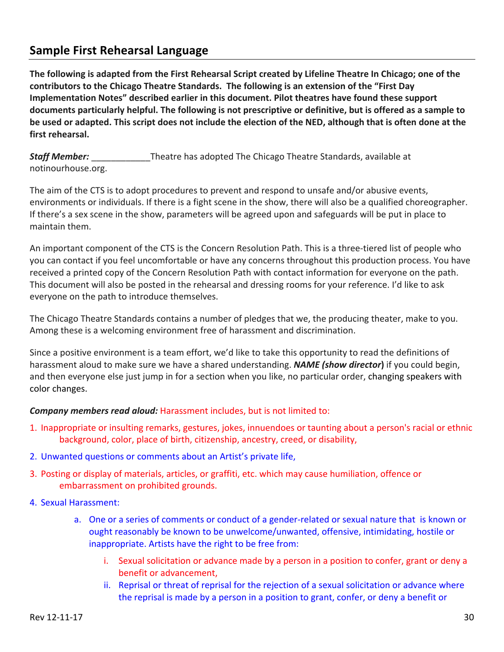## **Sample First Rehearsal Language**

The following is adapted from the First Rehearsal Script created by Lifeline Theatre In Chicago; one of the contributors to the Chicago Theatre Standards. The following is an extension of the "First Day **Implementation Notes" described earlier in this document. Pilot theatres have found these support** documents particularly helpful. The following is not prescriptive or definitive, but is offered as a sample to be used or adapted. This script does not include the election of the NED, although that is often done at the first rehearsal.

**Staff Member:** Theatre has adopted The Chicago Theatre Standards, available at notinourhouse.org.

The aim of the CTS is to adopt procedures to prevent and respond to unsafe and/or abusive events, environments or individuals. If there is a fight scene in the show, there will also be a qualified choreographer. If there's a sex scene in the show, parameters will be agreed upon and safeguards will be put in place to maintain them.

An important component of the CTS is the Concern Resolution Path. This is a three-tiered list of people who you can contact if you feel uncomfortable or have any concerns throughout this production process. You have received a printed copy of the Concern Resolution Path with contact information for everyone on the path. This document will also be posted in the rehearsal and dressing rooms for your reference. I'd like to ask everyone on the path to introduce themselves.

The Chicago Theatre Standards contains a number of pledges that we, the producing theater, make to you. Among these is a welcoming environment free of harassment and discrimination.

Since a positive environment is a team effort, we'd like to take this opportunity to read the definitions of harassment aloud to make sure we have a shared understanding. **NAME (show director)** if you could begin, and then everyone else just jump in for a section when you like, no particular order, changing speakers with color changes.

#### **Company members read aloud:** Harassment includes, but is not limited to:

- 1. Inappropriate or insulting remarks, gestures, jokes, innuendoes or taunting about a person's racial or ethnic background, color, place of birth, citizenship, ancestry, creed, or disability,
- 2. Unwanted questions or comments about an Artist's private life,
- 3. Posting or display of materials, articles, or graffiti, etc. which may cause humiliation, offence or embarrassment on prohibited grounds.
- 4. Sexual Harassment:
	- a. One or a series of comments or conduct of a gender-related or sexual nature that is known or ought reasonably be known to be unwelcome/unwanted, offensive, intimidating, hostile or inappropriate. Artists have the right to be free from:
		- i. Sexual solicitation or advance made by a person in a position to confer, grant or deny a benefit or advancement,
		- ii. Reprisal or threat of reprisal for the rejection of a sexual solicitation or advance where the reprisal is made by a person in a position to grant, confer, or deny a benefit or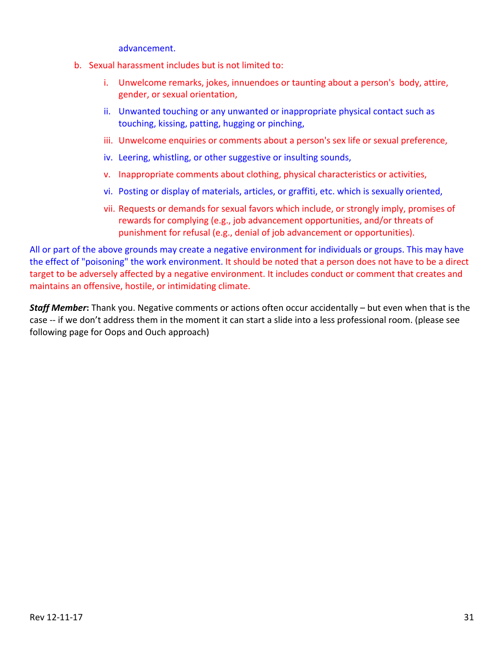advancement. 

- b. Sexual harassment includes but is not limited to:
	- i. Unwelcome remarks, jokes, innuendoes or taunting about a person's body, attire, gender, or sexual orientation,
	- ii. Unwanted touching or any unwanted or inappropriate physical contact such as touching, kissing, patting, hugging or pinching,
	- iii. Unwelcome enquiries or comments about a person's sex life or sexual preference,
	- iv. Leering, whistling, or other suggestive or insulting sounds,
	- v. Inappropriate comments about clothing, physical characteristics or activities,
	- vi. Posting or display of materials, articles, or graffiti, etc. which is sexually oriented,
	- vii. Requests or demands for sexual favors which include, or strongly imply, promises of rewards for complying (e.g., job advancement opportunities, and/or threats of punishment for refusal (e.g., denial of job advancement or opportunities).

All or part of the above grounds may create a negative environment for individuals or groups. This may have the effect of "poisoning" the work environment. It should be noted that a person does not have to be a direct target to be adversely affected by a negative environment. It includes conduct or comment that creates and maintains an offensive, hostile, or intimidating climate.

**Staff Member:** Thank you. Negative comments or actions often occur accidentally – but even when that is the case -- if we don't address them in the moment it can start a slide into a less professional room. (please see following page for Oops and Ouch approach)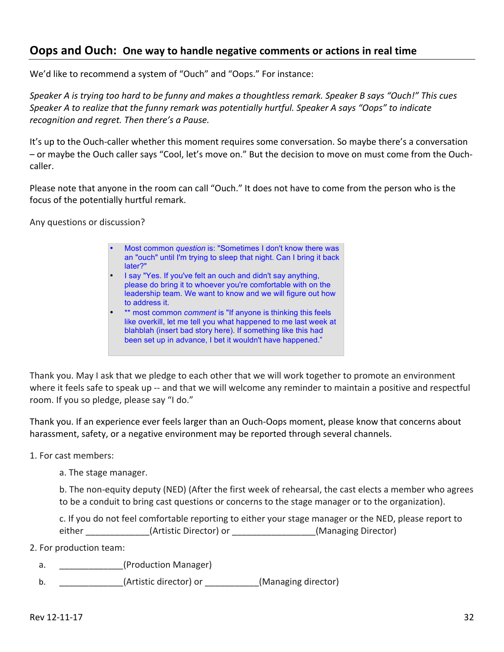## **Oops and Ouch:** One way to handle negative comments or actions in real time

We'd like to recommend a system of "Ouch" and "Oops." For instance:

Speaker A is trying too hard to be funny and makes a thoughtless remark. Speaker B says "Ouch!" This cues *Speaker* A to realize that the funny remark was potentially hurtful. Speaker A says "Oops" to indicate recognition and regret. Then there's a Pause.

It's up to the Ouch-caller whether this moment requires some conversation. So maybe there's a conversation - or maybe the Ouch caller says "Cool, let's move on." But the decision to move on must come from the Ouchcaller. 

Please note that anyone in the room can call "Ouch." It does not have to come from the person who is the focus of the potentially hurtful remark.

Any questions or discussion?

• Most common *question* is: "Sometimes I don't know there was an "ouch" until I'm trying to sleep that night. Can I bring it back later?" • I say "Yes. If you've felt an ouch and didn't say anything, please do bring it to whoever you're comfortable with on the leadership team. We want to know and we will figure out how to address it. \*\* most common *comment* is "If anyone is thinking this feels like overkill, let me tell you what happened to me last week at blahblah (insert bad story here). If something like this had been set up in advance, I bet it wouldn't have happened."

Thank you. May I ask that we pledge to each other that we will work together to promote an environment where it feels safe to speak up -- and that we will welcome any reminder to maintain a positive and respectful room. If you so pledge, please say "I do."

Thank you. If an experience ever feels larger than an Ouch-Oops moment, please know that concerns about harassment, safety, or a negative environment may be reported through several channels.

1. For cast members:

a. The stage manager.

b. The non-equity deputy (NED) (After the first week of rehearsal, the cast elects a member who agrees to be a conduit to bring cast questions or concerns to the stage manager or to the organization).

c. If you do not feel comfortable reporting to either your stage manager or the NED, please report to either (Artistic Director) or (Managing Director)

2. For production team:

- a. **Example 20** (Production Manager)
- b. \_\_\_\_\_\_\_\_\_\_\_\_\_(Artistic director) or \_\_\_\_\_\_\_\_\_(Managing director)